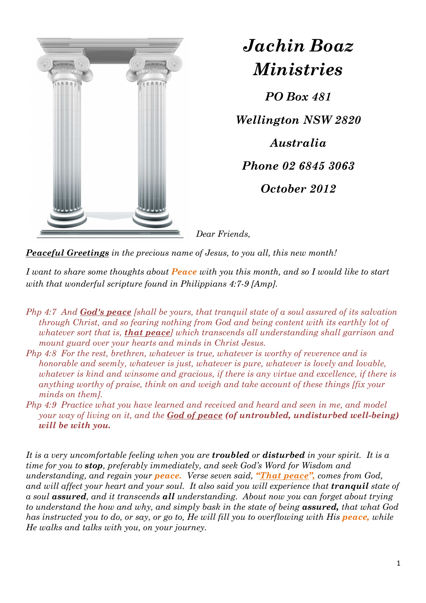

*Jachin Boaz Ministries PO Box 481 Wellington NSW 2820 Australia Phone 02 6845 3063 October 2012* 

*Dear Friends,* 

*Peaceful Greetings in the precious name of Jesus, to you all, this new month!* 

*I want to share some thoughts about Peace with you this month, and so I would like to start with that wonderful scripture found in Philippians 4:7-9 [Amp].* 

- *Php 4:7 And God's peace [shall be yours, that tranquil state of a soul assured of its salvation through Christ, and so fearing nothing from God and being content with its earthly lot of whatever sort that is, that peace] which transcends all understanding shall garrison and mount guard over your hearts and minds in Christ Jesus.*
- *Php 4:8 For the rest, brethren, whatever is true, whatever is worthy of reverence and is honorable and seemly, whatever is just, whatever is pure, whatever is lovely and lovable, whatever is kind and winsome and gracious, if there is any virtue and excellence, if there is anything worthy of praise, think on and weigh and take account of these things [fix your minds on them].*
- *Php 4:9 Practice what you have learned and received and heard and seen in me, and model your way of living on it, and the God of peace (of untroubled, undisturbed well-being) will be with you.*

*It is a very uncomfortable feeling when you are troubled or disturbed in your spirit. It is a time for you to stop, preferably immediately, and seek God's Word for Wisdom and understanding, and regain your peace. Verse seven said, "That peace", comes from God, and will affect your heart and your soul. It also said you will experience that <i>tranquil* state of *a soul assured, and it transcends all understanding. About now you can forget about trying to understand the how and why, and simply bask in the state of being assured, that what God has instructed you to do, or say, or go to, He will fill you to overflowing with His <i>peace,* while *He walks and talks with you, on your journey.*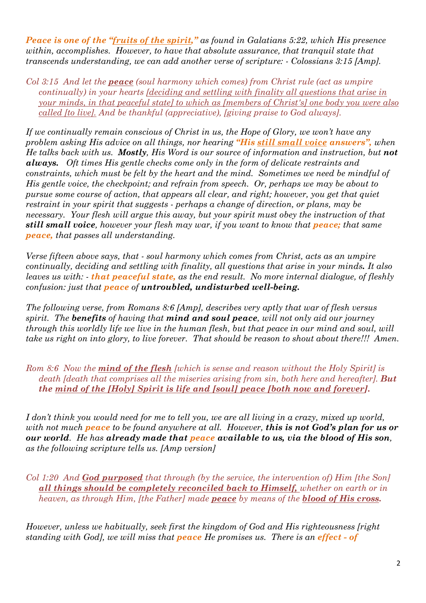*Peace is one of the "fruits of the spirit," as found in Galatians 5:22, which His presence within, accomplishes. However, to have that absolute assurance, that tranquil state that transcends understanding, we can add another verse of scripture: - Colossians 3:15 [Amp].* 

*Col 3:15 And let the peace (soul harmony which comes) from Christ rule (act as umpire continually) in your hearts [deciding and settling with finality all questions that arise in your minds, in that peaceful state] to which as [members of Christ's] one body you were also called [to live]. And be thankful (appreciative), [giving praise to God always].* 

*If we continually remain conscious of Christ in us, the Hope of Glory, we won't have any problem asking His advice on all things, nor hearing "His still small voice answers", when He talks back with us. Mostly, His Word is our source of information and instruction, but not always. Oft times His gentle checks come only in the form of delicate restraints and constraints, which must be felt by the heart and the mind. Sometimes we need be mindful of His gentle voice, the checkpoint; and refrain from speech. Or, perhaps we may be about to pursue some course of action, that appears all clear, and right; however, you get that quiet restraint in your spirit that suggests - perhaps a change of direction, or plans, may be necessary. Your flesh will argue this away, but your spirit must obey the instruction of that*  **still small voice**, however your flesh may war, if you want to know that *peace;* that same *peace, that passes all understanding.* 

*Verse fifteen above says, that - soul harmony which comes from Christ, acts as an umpire continually, deciding and settling with finality, all questions that arise in your minds. It also leaves us with: - that peaceful state, as the end result. No more internal dialogue, of fleshly confusion: just that peace of untroubled, undisturbed well-being.* 

*The following verse, from Romans 8:6 [Amp], describes very aptly that war of flesh versus spirit. The benefits of having that mind and soul peace, will not only aid our journey through this worldly life we live in the human flesh, but that peace in our mind and soul, will take us right on into glory, to live forever. That should be reason to shout about there!!! Amen.* 

*Rom 8:6 Now the mind of the flesh [which is sense and reason without the Holy Spirit] is death [death that comprises all the miseries arising from sin, both here and hereafter].* But *the mind of the [Holy] Spirit is life and [soul] peace [both now and forever].* 

*I don't think you would need for me to tell you, we are all living in a crazy, mixed up world, with not much peace to be found anywhere at all. However, this is not God's plan for us or our world. He has already made that peace available to us, via the blood of His son, as the following scripture tells us. [Amp version]* 

*Col 1:20 And God purposed that through (by the service, the intervention of) Him [the Son] all things should be completely reconciled back to Himself, whether on earth or in heaven, as through Him, [the Father] made peace by means of the blood of His cross.* 

*However, unless we habitually, seek first the kingdom of God and His righteousness [right standing with God], we will miss that peace He promises us. There is an effect - of*